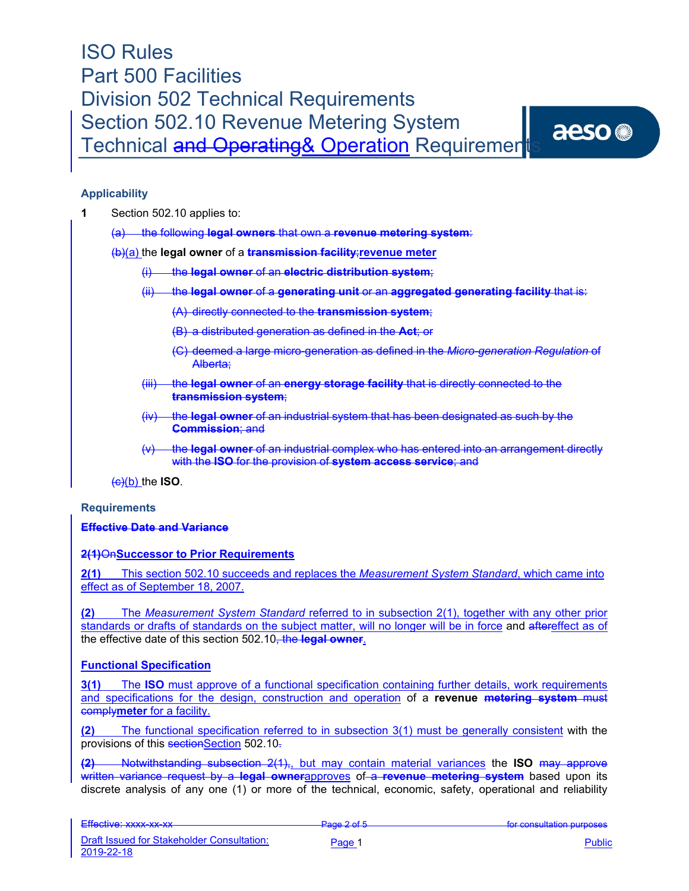### **Applicability**

- **1** Section 502.10 applies to:
	- (a) the following **legal owners** that own a **revenue metering system**:

(b)(a) the **legal owner** of a **transmission facility**;**revenue meter**

- (i) the **legal owner** of an **electric distribution system**;
- (ii) the **legal owner** of a **generating unit** or an **aggregated generating facility** that is:
	- (A) directly connected to the **transmission system**;
	- (B) a distributed generation as defined in the **Act**; or
	- (C) deemed a large micro-generation as defined in the *Micro-generation Regulation* of Alberta;
- (iii) the **legal owner** of an **energy storage facility** that is directly connected to the **transmission system**;
- (iv) the **legal owner** of an industrial system that has been designated as such by the **Commission**; and
- (v) the **legal owner** of an industrial complex who has entered into an arrangement directly with the **ISO** for the provision of **system access service**; and

 $\left(\frac{c}{c}\right)$  (b) the **ISO**.

### **Requirements**

### **Effective Date and Variance**

**2(1)** On**Successor to Prior Requirements** 

**2(1)** This section 502.10 succeeds and replaces the *Measurement System Standard*, which came into effect as of September 18, 2007.

**(2)** The *Measurement System Standard* referred to in subsection 2(1), together with any other prior standards or drafts of standards on the subject matter, will no longer will be in force and aftereffect as of the effective date of this section 502.10, the **legal owner**.

### **Functional Specification**

**3(1)** The **ISO** must approve of a functional specification containing further details, work requirements and specifications for the design, construction and operation of a **revenue metering system** must comply**meter** for a facility.

**(2)** The functional specification referred to in subsection 3(1) must be generally consistent with the provisions of this sectionSection 502.10.

**(2)** Notwithstanding subsection 2(1),, but may contain material variances the **ISO** may approve written variance request by a **legal owner**approves of a **revenue metering system** based upon its discrete analysis of any one (1) or more of the technical, economic, safety, operational and reliability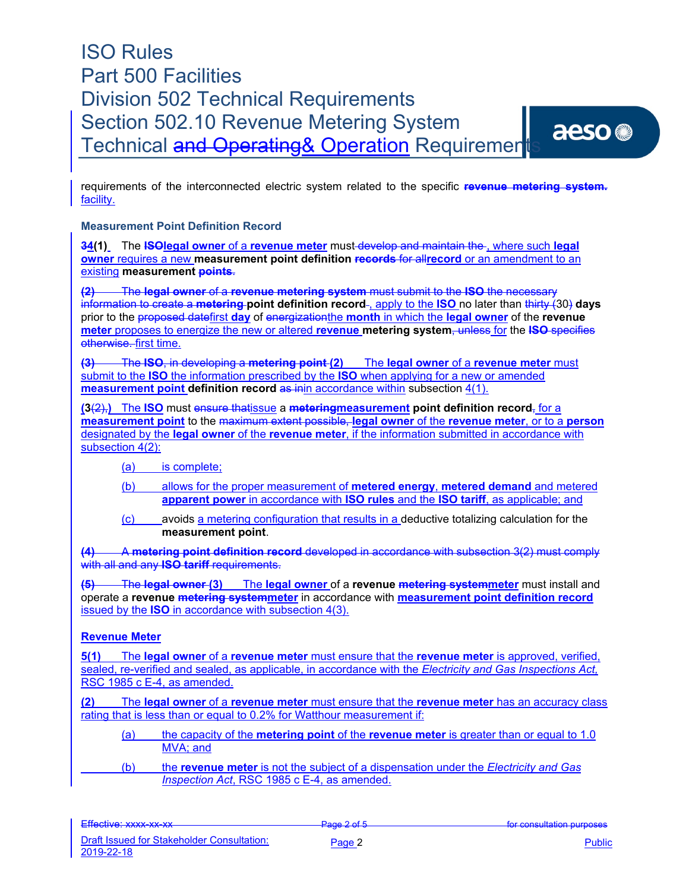

### **Measurement Point Definition Record**

**34(1)** The **ISOlegal owner** of a **revenue meter** must develop and maintain the , where such **legal owner** requires a new **measurement point definition records** for all**record** or an amendment to an existing **measurement points**.

**(2)** The **legal owner** of a **revenue metering system** must submit to the **ISO** the necessary information to create a **metering point definition record** , apply to the **ISO** no later than thirty (30) **days**  prior to the proposed datefirst **day** of energizationthe **month** in which the **legal owner** of the **revenue meter** proposes to energize the new or altered **revenue metering system**, unless for the **ISO** specifies otherwise. first time.

**(3)** The **ISO**, in developing a **metering point (2)** The **legal owner** of a **revenue meter** must submit to the **ISO** the information prescribed by the **ISO** when applying for a new or amended **measurement point definition record as inin accordance within subsection 4(1).** 

**(3**(2),**)** The **ISO** must ensure thatissue a **meteringmeasurement point definition record**, for a **measurement point** to the maximum extent possible, **legal owner** of the **revenue meter**, or to a **person** designated by the **legal owner** of the **revenue meter**, if the information submitted in accordance with subsection 4(2):

(a) is complete;

- (b) allows for the proper measurement of **metered energy**, **metered demand** and metered **apparent power** in accordance with **ISO rules** and the **ISO tariff**, as applicable; and
- (c) avoids a metering configuration that results in a deductive totalizing calculation for the **measurement point**.

**(4)** A **metering point definition record** developed in accordance with subsection 3(2) must comply with all and any **ISO tariff** requirements.

**(5)** The **legal owner (3)** The **legal owner** of a **revenue metering systemmeter** must install and operate a **revenue metering systemmeter** in accordance with **measurement point definition record**  issued by the **ISO** in accordance with subsection 4(3).

### **Revenue Meter**

**5(1)** The **legal owner** of a **revenue meter** must ensure that the **revenue meter** is approved, verified, sealed, re-verified and sealed, as applicable, in accordance with the *Electricity and Gas Inspections Act,*  RSC 1985 c E-4, as amended.

**(2)** The **legal owner** of a **revenue meter** must ensure that the **revenue meter** has an accuracy class rating that is less than or equal to 0.2% for Watthour measurement if:

- (a) the capacity of the **metering point** of the **revenue meter** is greater than or equal to 1.0 MVA; and
- (b) the **revenue meter** is not the subject of a dispensation under the *Electricity and Gas Inspection Act*, RSC 1985 c E-4, as amended.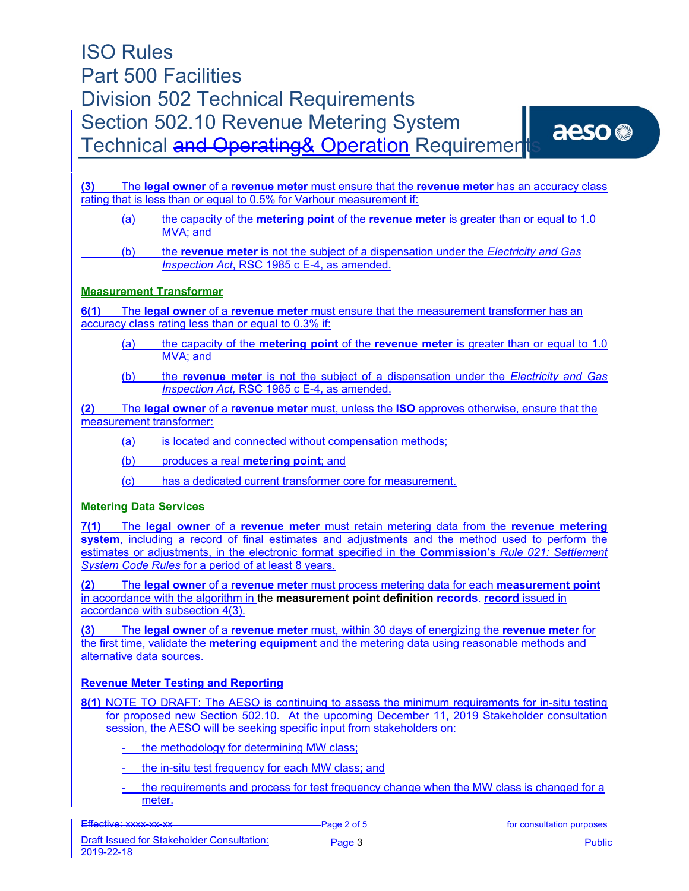

**(3)** The **legal owner** of a **revenue meter** must ensure that the **revenue meter** has an accuracy class rating that is less than or equal to 0.5% for Varhour measurement if:

- (a) the capacity of the **metering point** of the **revenue meter** is greater than or equal to 1.0 MVA; and
- (b) the **revenue meter** is not the subject of a dispensation under the *Electricity and Gas Inspection Act*, RSC 1985 c E-4, as amended.

### **Measurement Transformer**

**6(1)** The **legal owner** of a **revenue meter** must ensure that the measurement transformer has an accuracy class rating less than or equal to 0.3% if:

- (a) the capacity of the **metering point** of the **revenue meter** is greater than or equal to 1.0 MVA; and
- (b) the **revenue meter** is not the subject of a dispensation under the *Electricity and Gas Inspection Act,* RSC 1985 c E-4, as amended.

**(2)** The **legal owner** of a **revenue meter** must, unless the **ISO** approves otherwise, ensure that the measurement transformer:

- (a) is located and connected without compensation methods;
- (b) produces a real **metering point**; and
- (c) has a dedicated current transformer core for measurement.

### **Metering Data Services**

**7(1)** The **legal owner** of a **revenue meter** must retain metering data from the **revenue metering system**, including a record of final estimates and adjustments and the method used to perform the estimates or adjustments, in the electronic format specified in the **Commission**'s *Rule 021: Settlement System Code Rules* for a period of at least 8 years.

**(2)** The **legal owner** of a **revenue meter** must process metering data for each **measurement point** in accordance with the algorithm in the **measurement point definition records**. **record** issued in accordance with subsection 4(3).

**(3)** The **legal owner** of a **revenue meter** must, within 30 days of energizing the **revenue meter** for the first time, validate the **metering equipment** and the metering data using reasonable methods and alternative data sources.

### **Revenue Meter Testing and Reporting**

**8(1)** NOTE TO DRAFT: The AESO is continuing to assess the minimum requirements for in-situ testing for proposed new Section 502.10. At the upcoming December 11, 2019 Stakeholder consultation session, the AESO will be seeking specific input from stakeholders on:

- the methodology for determining MW class;
- the in-situ test frequency for each MW class; and
- the requirements and process for test frequency change when the MW class is changed for a meter.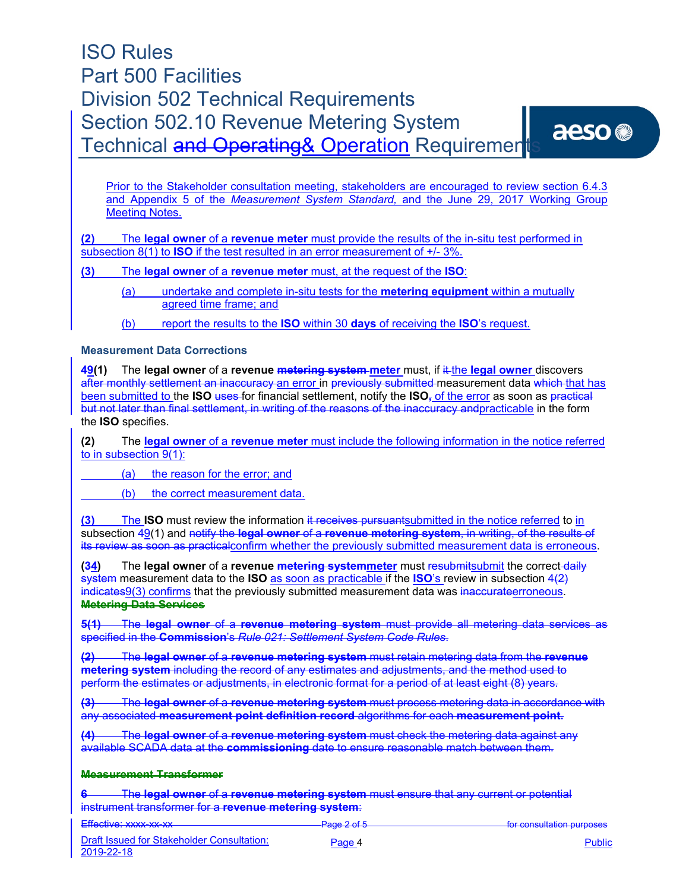Prior to the Stakeholder consultation meeting, stakeholders are encouraged to review section 6.4.3 and Appendix 5 of the *Measurement System Standard,* and the June 29, 2017 Working Group Meeting Notes.

**(2)** The **legal owner** of a **revenue meter** must provide the results of the in-situ test performed in subsection 8(1) to **ISO** if the test resulted in an error measurement of +/- 3%.

**(3)** The **legal owner** of a **revenue meter** must, at the request of the **ISO**:

(a) undertake and complete in-situ tests for the **metering equipment** within a mutually agreed time frame; and

(b) report the results to the **ISO** within 30 **days** of receiving the **ISO**'s request.

#### **Measurement Data Corrections**

**49(1)** The **legal owner** of a **revenue metering system meter** must, if it the **legal owner** discovers after monthly settlement an inaccuracy an error in previously submitted measurement data which that has been submitted to the **ISO** uses for financial settlement, notify the **ISO**<sub>7</sub> of the error as soon as practical but not later than final settlement, in writing of the reasons of the inaccuracy andpracticable in the form the **ISO** specifies.

**(2)** The **legal owner** of a **revenue meter** must include the following information in the notice referred to in subsection 9(1):

(a) the reason for the error; and

(b) the correct measurement data.

**(3)** The **ISO** must review the information it receives pursuantsubmitted in the notice referred to in subsection 49(1) and notify the **legal owner** of a **revenue metering system**, in writing, of the results of its review as soon as practicalconfirm whether the previously submitted measurement data is erroneous.

**(34)** The **legal owner** of a **revenue <del>metering system</del>meter** must resubmitsubmit the correct-daily system measurement data to the **ISO** as soon as practicable if the **ISO**'s review in subsection 4(2) indicates9(3) confirms that the previously submitted measurement data was inaccurateerroneous. **Metering Data Services**

**5(1)** The **legal owner** of a **revenue metering system** must provide all metering data services as specified in the **Commission**'s *Rule 021: Settlement System Code Rules*.

**(2)** The **legal owner** of a **revenue metering system** must retain metering data from the **revenue metering system** including the record of any estimates and adjustments, and the method used to perform the estimates or adjustments, in electronic format for a period of at least eight (8) years.

**(3)** The **legal owner** of a **revenue metering system** must process metering data in accordance with any associated **measurement point definition record** algorithms for each **measurement point.** 

**(4)** The **legal owner** of a **revenue metering system** must check the metering data against any available SCADA data at the **commissioning** date to ensure reasonable match between them.

#### **Measurement Transformer**

**6** The **legal owner** of a **revenue metering system** must ensure that any current or potential instrument transformer for a **revenue metering system**:

| Effective: vyvv_vv_vv           | $Dao \circ fE$           | for consultation nurnoses          |
|---------------------------------|--------------------------|------------------------------------|
|                                 |                          |                                    |
| <b>ETIVOLIVU. AVAVA AVA AVA</b> | $\overline{\phantom{a}}$ | <b>TUI UUITUURUUTUUT PUI PUUUU</b> |
|                                 |                          |                                    |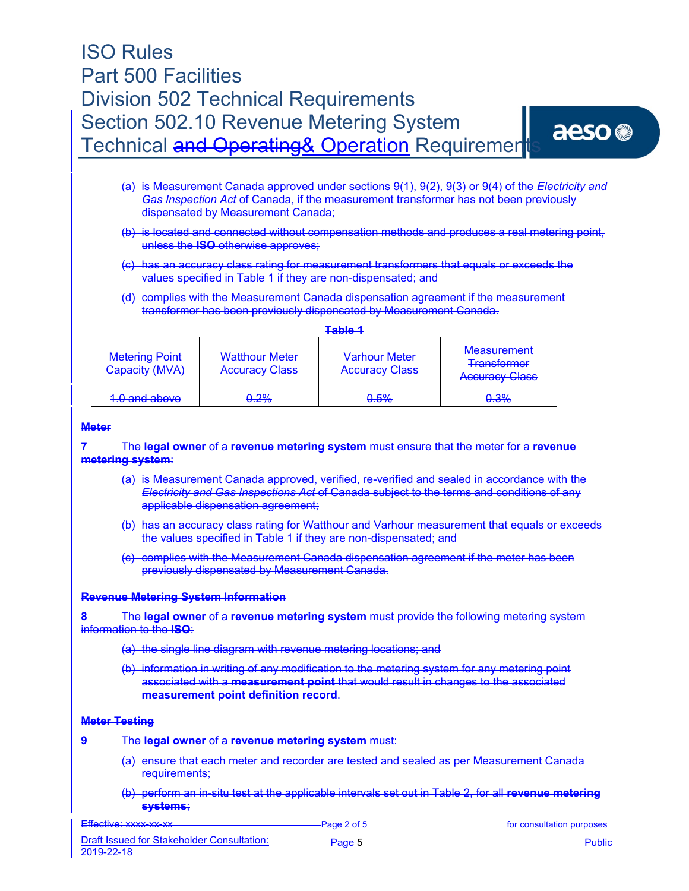- (a) is Measurement Canada approved under sections 9(1), 9(2), 9(3) or 9(4) of the *Electricity and Gas Inspection Act* of Canada, if the measurement transformer has not been previously dispensated by Measurement Canada;
- (b) is located and connected without compensation methods and produces a real metering point, unless the **ISO** otherwise approves;
- (c) has an accuracy class rating for measurement transformers that equals or exceeds the values specified in Table 1 if they are non-dispensated; and
- (d) complies with the Measurement Canada dispensation agreement if the measurement transformer has been previously dispensated by Measurement Canada.

| <b>Metering Point</b><br>Capacity (MVA) | Watthour Meter<br><b>Accuracy Class</b> | Varhour Meter<br><b>Accuracy Class</b> | <b>Measurement</b><br><b>Transformer</b><br><b>Accuracy Class</b> |
|-----------------------------------------|-----------------------------------------|----------------------------------------|-------------------------------------------------------------------|
| 1.0 and above                           | <del>0.2%</del>                         | <del>0.5%</del>                        | 0.3%                                                              |

#### **Meter**

#### **7** The **legal owner** of a **revenue metering system** must ensure that the meter for a **revenue metering system**:

- (a) is Measurement Canada approved, verified, re-verified and sealed in accordance with the *Electricity and Gas Inspections Act* of Canada subject to the terms and conditions of any applicable dispensation agreement;
- (b) has an accuracy class rating for Watthour and Varhour measurement that equals or exceeds the values specified in Table 1 if they are non-dispensated; and
- (c) complies with the Measurement Canada dispensation agreement if the meter has been previously dispensated by Measurement Canada.

#### **Revenue Metering System Information**

**8** The **legal owner** of a **revenue metering system** must provide the following metering system information to the **ISO**:

- (a) the single line diagram with revenue metering locations; and
- (b) information in writing of any modification to the metering system for any metering point associated with a **measurement point** that would result in changes to the associated **measurement point definition record**.

#### **Meter Testing**

- **9** The **legal owner** of a **revenue metering system** must:
	- (a) ensure that each meter and recorder are tested and sealed as per Measurement Canada requirements;
	- (b) perform an in-situ test at the applicable intervals set out in Table 2, for all **revenue metering systems**;

Effective: xxxx-xx-xx Page 2 of 5 for consultation purposes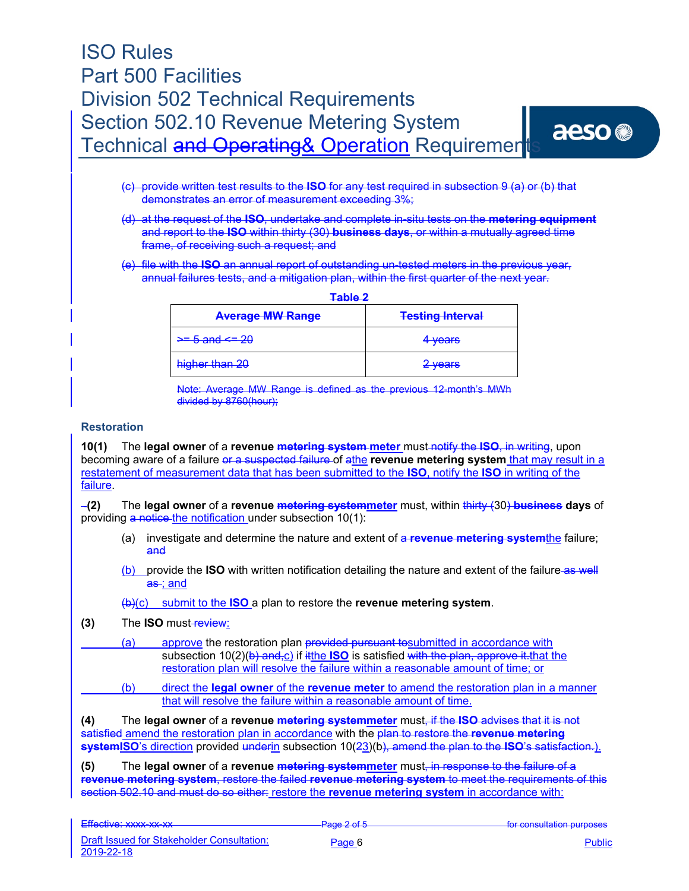- (c) provide written test results to the **ISO** for any test required in subsection 9 (a) or (b) that demonstrates an error of measurement exceeding 3%;
- (d) at the request of the **ISO**, undertake and complete in-situ tests on the **metering equipment** and report to the **ISO** within thirty (30) **business days**, or within a mutually agreed time frame, of receiving such a request; and
- (e) file with the **ISO** an annual report of outstanding un-tested meters in the previous year, annual failures tests, and a mitigation plan, within the first quarter of the next year.

| Table 2                  |                         |  |
|--------------------------|-------------------------|--|
| <b>Average MW Range</b>  | <b>Testing Interval</b> |  |
| $\ge$ = 5 and $\le$ = 20 | 4 years                 |  |
| higher than 20           | 2 years                 |  |

Note: Average MW Range is defined as the previous 12-month's MWh divided by 8760(hour);

#### **Restoration**

**10(1)** The **legal owner** of a **revenue metering system meter** must notify the **ISO**, in writing, upon becoming aware of a failure or a suspected failure of athe **revenue metering system** that may result in a restatement of measurement data that has been submitted to the **ISO**, notify the **ISO** in writing of the failure.

**(2)** The **legal owner** of a **revenue metering systemmeter** must, within thirty (30) **business days** of providing  $a$  notice the notification under subsection 10(1):

- (a) investigate and determine the nature and extent of a **revenue metering system**the failure; and
- (b) provide the **ISO** with written notification detailing the nature and extent of the failure as well as ; and

### (b)(c) submit to the **ISO** a plan to restore the **revenue metering system**.

- **(3)** The **ISO** must-review:
- (a) approve the restoration plan provided pursuant to submitted in accordance with subsection 10(2)(b) and<sub>r</sub>c) if it the **ISO** is satisfied with the plan, approve it that the restoration plan will resolve the failure within a reasonable amount of time; or
	- (b) direct the **legal owner** of the **revenue meter** to amend the restoration plan in a manner that will resolve the failure within a reasonable amount of time.

**(4)** The **legal owner** of a **revenue metering systemmeter** must, if the **ISO** advises that it is not ed amend the restoration plan in accordance with the <del>plan to restore the **revenue metering**</del> **systemISO**'s direction provided underin subsection 10(23)(b), amend the plan to the **ISO**'s satisfaction.).

**(5)** The **legal owner** of a **revenue metering systemmeter** must, in response to the failure of a **revenue metering system**, restore the failed **revenue metering system** to meet the requirements of this section 502.10 and must do so either: restore the **revenue metering system** in accordance with: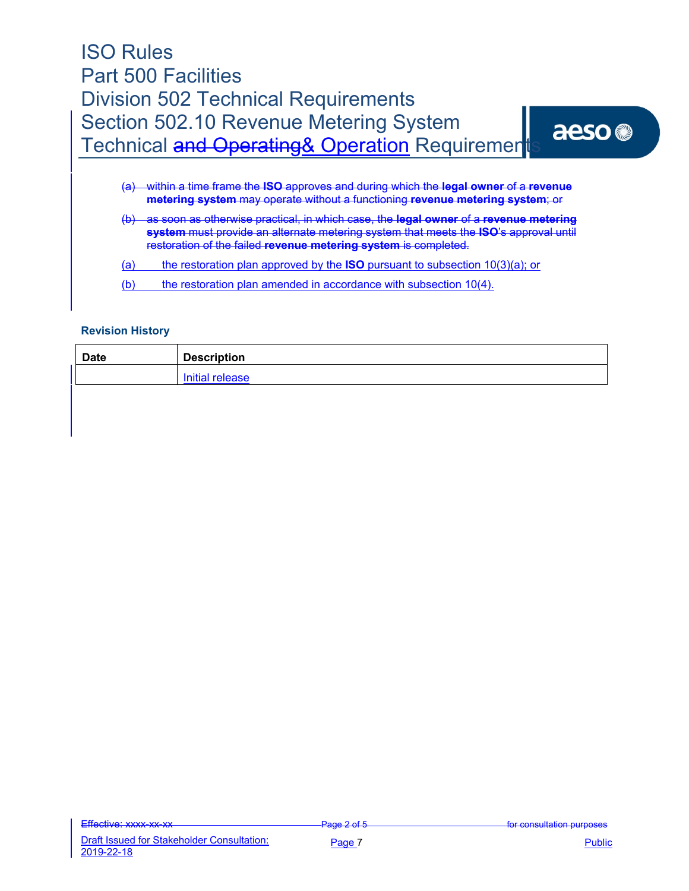| <b>ISO Rules</b>                               |      |
|------------------------------------------------|------|
| <b>Part 500 Facilities</b>                     |      |
| <b>Division 502 Technical Requirements</b>     |      |
| Section 502.10 Revenue Metering System         | aeso |
| Technical and Operating& Operation Requirement |      |
|                                                |      |

- (a) within a time frame the **ISO** approves and during which the **legal owner** of a **revenue metering system** may operate without a functioning **revenue metering system**; or
- (b) as soon as otherwise practical, in which case, the **legal owner** of a **revenue metering system** must provide an alternate metering system that meets the **ISO**'s approval until restoration of the failed **revenue metering system** is completed.
- (a) the restoration plan approved by the **ISO** pursuant to subsection 10(3)(a); or
- (b) the restoration plan amended in accordance with subsection 10(4).

#### **Revision History**

| <b>Date</b> | <b>Description</b> |
|-------------|--------------------|
|             | Initial release    |